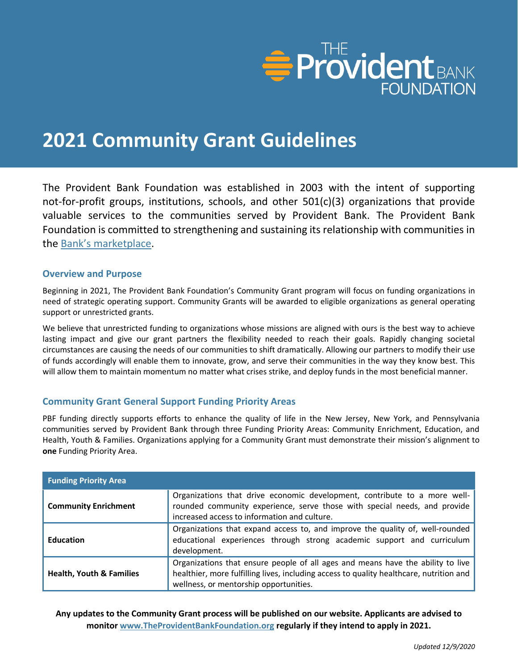

# **2021 Community Grant Guidelines**

The Provident Bank Foundation was established in 2003 with the intent of supporting not-for-profit groups, institutions, schools, and other 501(c)(3) organizations that provide valuable services to the communities served by Provident Bank. The Provident Bank Foundation is committed to strengthening and sustaining its relationship with communities in the [Bank's marketplace](https://www.provident.bank/branch-locator).

# **Overview and Purpose**

Beginning in 2021, The Provident Bank Foundation's Community Grant program will focus on funding organizations in need of strategic operating support. Community Grants will be awarded to eligible organizations as general operating support or unrestricted grants.

We believe that unrestricted funding to organizations whose missions are aligned with ours is the best way to achieve lasting impact and give our grant partners the flexibility needed to reach their goals. Rapidly changing societal circumstances are causing the needs of our communities to shift dramatically. Allowing our partners to modify their use of funds accordingly will enable them to innovate, grow, and serve their communities in the way they know best. This will allow them to maintain momentum no matter what crises strike, and deploy funds in the most beneficial manner.

# **Community Grant General Support Funding Priority Areas**

PBF funding directly supports efforts to enhance the quality of life in the New Jersey, New York, and Pennsylvania communities served by Provident Bank through three Funding Priority Areas: Community Enrichment, Education, and Health, Youth & Families. Organizations applying for a Community Grant must demonstrate their mission's alignment to **one** Funding Priority Area.

| <b>Funding Priority Area</b>        |                                                                                                                                                                                                                      |
|-------------------------------------|----------------------------------------------------------------------------------------------------------------------------------------------------------------------------------------------------------------------|
| <b>Community Enrichment</b>         | Organizations that drive economic development, contribute to a more well-<br>rounded community experience, serve those with special needs, and provide<br>increased access to information and culture.               |
| <b>Education</b>                    | Organizations that expand access to, and improve the quality of, well-rounded<br>educational experiences through strong academic support and curriculum<br>development.                                              |
| <b>Health, Youth &amp; Families</b> | Organizations that ensure people of all ages and means have the ability to live<br>healthier, more fulfilling lives, including access to quality healthcare, nutrition and<br>wellness, or mentorship opportunities. |

**Any updates to the Community Grant process will be published on our website. Applicants are advised to monitor [www.TheProvidentBankFoundation.org](http://www.theprovidentbankfoundation.org/) regularly if they intend to apply in 2021.**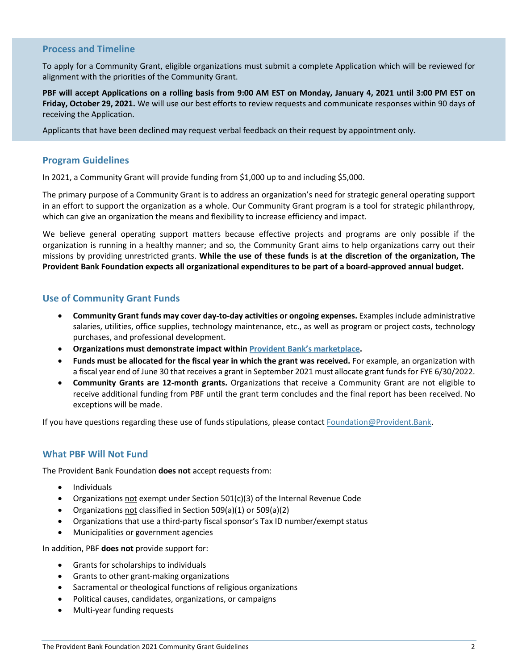## **Process and Timeline**

To apply for a Community Grant, eligible organizations must submit a complete Application which will be reviewed for alignment with the priorities of the Community Grant.

**PBF will accept Applications on a rolling basis from 9:00 AM EST on Monday, January 4, 2021 until 3:00 PM EST on Friday, October 29, 2021.** We will use our best efforts to review requests and communicate responses within 90 days of receiving the Application.

Applicants that have been declined may request verbal feedback on their request by appointment only.

# **Program Guidelines**

In 2021, a Community Grant will provide funding from \$1,000 up to and including \$5,000.

The primary purpose of a Community Grant is to address an organization's need for strategic general operating support in an effort to support the organization as a whole. Our Community Grant program is a tool for strategic philanthropy, which can give an organization the means and flexibility to increase efficiency and impact.

We believe general operating support matters because effective projects and programs are only possible if the organization is running in a healthy manner; and so, the Community Grant aims to help organizations carry out their missions by providing unrestricted grants. **While the use of these funds is at the discretion of the organization, The Provident Bank Foundation expects all organizational expenditures to be part of a board-approved annual budget.**

# **Use of Community Grant Funds**

- **Community Grant funds may cover day-to-day activities or ongoing expenses.** Examples include administrative salaries, utilities, office supplies, technology maintenance, etc., as well as program or project costs, technology purchases, and professional development.
- **Organizations must demonstrate impact within [Provident Bank's marketplace](https://www.provident.bank/branch-locator).**
- **Funds must be allocated for the fiscal year in which the grant was received.** For example, an organization with a fiscal year end of June 30 that receives a grant in September 2021 must allocate grant funds for FYE 6/30/2022.
- **Community Grants are 12-month grants.** Organizations that receive a Community Grant are not eligible to receive additional funding from PBF until the grant term concludes and the final report has been received. No exceptions will be made.

If you have questions regarding these use of funds stipulations, please contact [Foundation@Provident.Bank.](mailto:Foundation@Provident.Bank)

## **What PBF Will Not Fund**

The Provident Bank Foundation **does not** accept requests from:

- Individuals
- Organizations not exempt under Section 501(c)(3) of the Internal Revenue Code
- Organizations not classified in Section 509(a)(1) or 509(a)(2)
- Organizations that use a third-party fiscal sponsor's Tax ID number/exempt status
- Municipalities or government agencies

In addition, PBF **does not** provide support for:

- Grants for scholarships to individuals
- Grants to other grant-making organizations
- Sacramental or theological functions of religious organizations
- Political causes, candidates, organizations, or campaigns
- Multi-year funding requests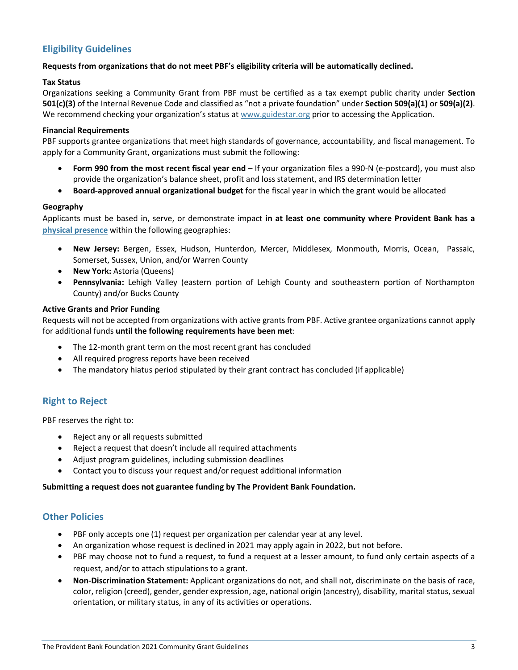# **Eligibility Guidelines**

### **Requests from organizations that do not meet PBF's eligibility criteria will be automatically declined.**

#### **Tax Status**

Organizations seeking a Community Grant from PBF must be certified as a tax exempt public charity under **Section 501(c)(3)** of the Internal Revenue Code and classified as "not a private foundation" under **Section 509(a)(1)** or **509(a)(2)**. We recommend checking your organization's status at [www.guidestar.org](http://www.guidestar.org/) prior to accessing the Application.

#### **Financial Requirements**

PBF supports grantee organizations that meet high standards of governance, accountability, and fiscal management. To apply for a Community Grant, organizations must submit the following:

- **Form 990 from the most recent fiscal year end** If your organization files a 990-N (e-postcard), you must also provide the organization's balance sheet, profit and loss statement, and IRS determination letter
- **Board-approved annual organizational budget** for the fiscal year in which the grant would be allocated

#### **Geography**

Applicants must be based in, serve, or demonstrate impact **in at least one community where Provident Bank has a [physical presence](https://www.provident.bank/branch-locator)** within the following geographies:

- **New Jersey:** Bergen, Essex, Hudson, Hunterdon, Mercer, Middlesex, Monmouth, Morris, Ocean, Passaic, Somerset, Sussex, Union, and/or Warren County
- **New York:** Astoria (Queens)
- **Pennsylvania:** Lehigh Valley (eastern portion of Lehigh County and southeastern portion of Northampton County) and/or Bucks County

#### **Active Grants and Prior Funding**

Requests will not be accepted from organizations with active grants from PBF. Active grantee organizations cannot apply for additional funds **until the following requirements have been met**:

- The 12-month grant term on the most recent grant has concluded
- All required progress reports have been received
- The mandatory hiatus period stipulated by their grant contract has concluded (if applicable)

# **Right to Reject**

PBF reserves the right to:

- Reject any or all requests submitted
- Reject a request that doesn't include all required attachments
- Adjust program guidelines, including submission deadlines
- Contact you to discuss your request and/or request additional information

#### **Submitting a request does not guarantee funding by The Provident Bank Foundation.**

# **Other Policies**

- PBF only accepts one (1) request per organization per calendar year at any level.
- An organization whose request is declined in 2021 may apply again in 2022, but not before.
- PBF may choose not to fund a request, to fund a request at a lesser amount, to fund only certain aspects of a request, and/or to attach stipulations to a grant.
- **Non-Discrimination Statement:** Applicant organizations do not, and shall not, discriminate on the basis of race, color, religion (creed), gender, gender expression, age, national origin (ancestry), disability, marital status, sexual orientation, or military status, in any of its activities or operations.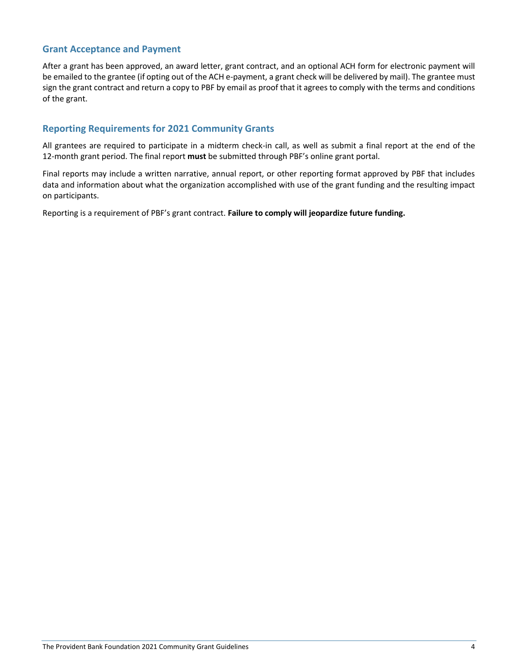# **Grant Acceptance and Payment**

After a grant has been approved, an award letter, grant contract, and an optional ACH form for electronic payment will be emailed to the grantee (if opting out of the ACH e-payment, a grant check will be delivered by mail). The grantee must sign the grant contract and return a copy to PBF by email as proof that it agrees to comply with the terms and conditions of the grant.

# **Reporting Requirements for 2021 Community Grants**

All grantees are required to participate in a midterm check-in call, as well as submit a final report at the end of the 12-month grant period. The final report **must** be submitted through PBF's online grant portal.

Final reports may include a written narrative, annual report, or other reporting format approved by PBF that includes data and information about what the organization accomplished with use of the grant funding and the resulting impact on participants.

Reporting is a requirement of PBF's grant contract. **Failure to comply will jeopardize future funding.**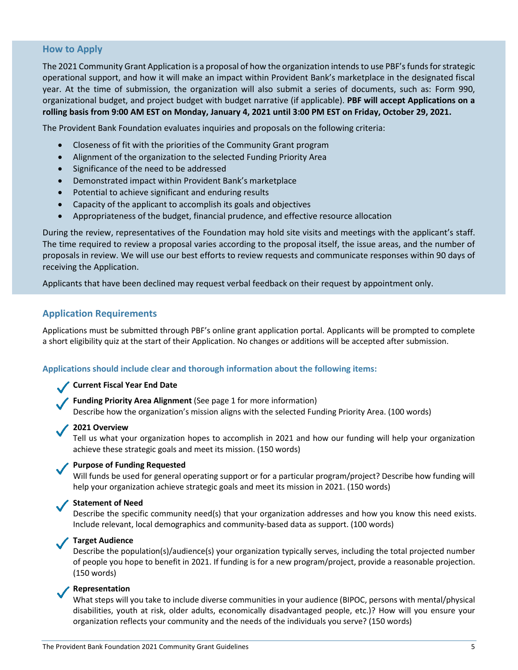# **How to Apply**

The 2021 Community Grant Application is a proposal of how the organization intends to use PBF's funds for strategic operational support, and how it will make an impact within Provident Bank's marketplace in the designated fiscal year. At the time of submission, the organization will also submit a series of documents, such as: Form 990, organizational budget, and project budget with budget narrative (if applicable). **PBF will accept Applications on a rolling basis from 9:00 AM EST on Monday, January 4, 2021 until 3:00 PM EST on Friday, October 29, 2021.**

The Provident Bank Foundation evaluates inquiries and proposals on the following criteria:

- Closeness of fit with the priorities of the Community Grant program
- Alignment of the organization to the selected Funding Priority Area
- Significance of the need to be addressed
- Demonstrated impact within Provident Bank's marketplace
- Potential to achieve significant and enduring results
- Capacity of the applicant to accomplish its goals and objectives
- Appropriateness of the budget, financial prudence, and effective resource allocation

During the review, representatives of the Foundation may hold site visits and meetings with the applicant's staff. The time required to review a proposal varies according to the proposal itself, the issue areas, and the number of proposals in review. We will use our best efforts to review requests and communicate responses within 90 days of receiving the Application.

Applicants that have been declined may request verbal feedback on their request by appointment only.

# **Application Requirements**

Applications must be submitted through PBF's online grant application portal. Applicants will be prompted to complete a short eligibility quiz at the start of their Application. No changes or additions will be accepted after submission.

#### **Applications should include clear and thorough information about the following items:**

#### **Current Fiscal Year End Date**

**Funding Priority Area Alignment** (See page 1 for more information) Describe how the organization's mission aligns with the selected Funding Priority Area. (100 words)

#### **2021 Overview**

Tell us what your organization hopes to accomplish in 2021 and how our funding will help your organization achieve these strategic goals and meet its mission. (150 words)

#### **Purpose of Funding Requested**

Will funds be used for general operating support or for a particular program/project? Describe how funding will help your organization achieve strategic goals and meet its mission in 2021. (150 words)

### **Statement of Need**

Describe the specific community need(s) that your organization addresses and how you know this need exists. Include relevant, local demographics and community-based data as support. (100 words)

#### **Target Audience**

Describe the population(s)/audience(s) your organization typically serves, including the total projected number of people you hope to benefit in 2021. If funding is for a new program/project, provide a reasonable projection. (150 words)

#### **Representation**

What steps will you take to include diverse communities in your audience (BIPOC, persons with mental/physical disabilities, youth at risk, older adults, economically disadvantaged people, etc.)? How will you ensure your organization reflects your community and the needs of the individuals you serve? (150 words)